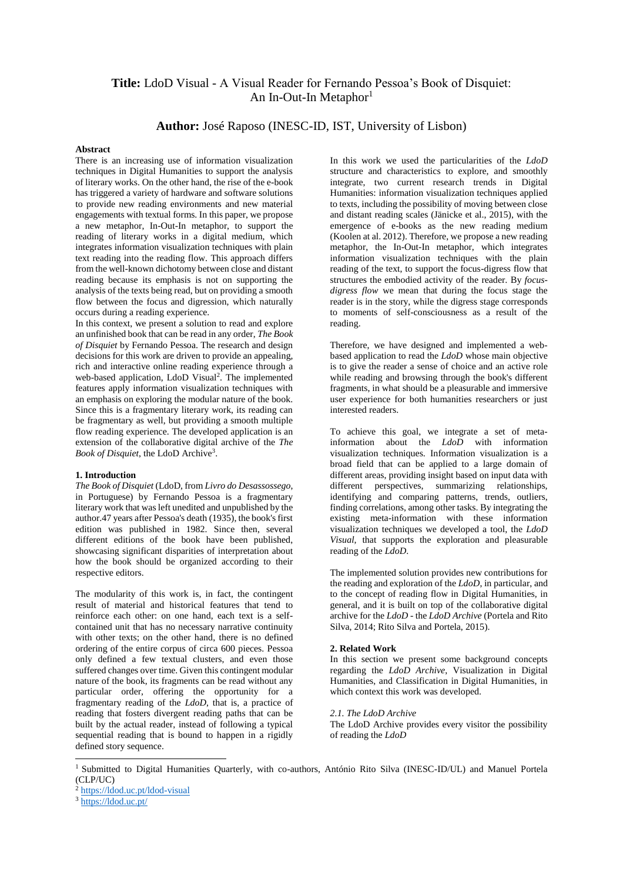# **Title:** LdoD Visual - A Visual Reader for Fernando Pessoa's Book of Disquiet: An In-Out-In Metaphor<sup>1</sup>

# **Author:** José Raposo (INESC-ID, IST, University of Lisbon)

## **Abstract**

There is an increasing use of information visualization techniques in Digital Humanities to support the analysis of literary works. On the other hand, the rise of the e-book has triggered a variety of hardware and software solutions to provide new reading environments and new material engagements with textual forms. In this paper, we propose a new metaphor, In-Out-In metaphor, to support the reading of literary works in a digital medium, which integrates information visualization techniques with plain text reading into the reading flow. This approach differs from the well-known dichotomy between close and distant reading because its emphasis is not on supporting the analysis of the texts being read, but on providing a smooth flow between the focus and digression, which naturally occurs during a reading experience.

In this context, we present a solution to read and explore an unfinished book that can be read in any order, *The Book of Disquiet* by Fernando Pessoa. The research and design decisions for this work are driven to provide an appealing, rich and interactive online reading experience through a web-based application, LdoD Visual<sup>2</sup>. The implemented features apply information visualization techniques with an emphasis on exploring the modular nature of the book. Since this is a fragmentary literary work, its reading can be fragmentary as well, but providing a smooth multiple flow reading experience. The developed application is an extension of the collaborative digital archive of the *The Book of Disquiet*, the LdoD Archive<sup>3</sup> .

#### **1. Introduction**

*The Book of Disquiet* (LdoD, from *Livro do Desassossego*, in Portuguese) by Fernando Pessoa is a fragmentary literary work that was left unedited and unpublished by the author.47 years after Pessoa's death (1935), the book's first edition was published in 1982. Since then, several different editions of the book have been published, showcasing significant disparities of interpretation about how the book should be organized according to their respective editors.

The modularity of this work is, in fact, the contingent result of material and historical features that tend to reinforce each other: on one hand, each text is a selfcontained unit that has no necessary narrative continuity with other texts; on the other hand, there is no defined ordering of the entire corpus of circa 600 pieces. Pessoa only defined a few textual clusters, and even those suffered changes over time. Given this contingent modular nature of the book, its fragments can be read without any particular order, offering the opportunity for a fragmentary reading of the *LdoD*, that is, a practice of reading that fosters divergent reading paths that can be built by the actual reader, instead of following a typical sequential reading that is bound to happen in a rigidly defined story sequence.

In this work we used the particularities of the *LdoD* structure and characteristics to explore, and smoothly integrate, two current research trends in Digital Humanities: information visualization techniques applied to texts, including the possibility of moving between close and distant reading scales (Jänicke et al., 2015), with the emergence of e-books as the new reading medium (Koolen at al. 2012). Therefore, we propose a new reading metaphor, the In-Out-In metaphor, which integrates information visualization techniques with the plain reading of the text, to support the focus-digress flow that structures the embodied activity of the reader. By *focusdigress flow* we mean that during the focus stage the reader is in the story, while the digress stage corresponds to moments of self-consciousness as a result of the reading.

Therefore, we have designed and implemented a webbased application to read the *LdoD* whose main objective is to give the reader a sense of choice and an active role while reading and browsing through the book's different fragments, in what should be a pleasurable and immersive user experience for both humanities researchers or just interested readers.

To achieve this goal, we integrate a set of metainformation about the *LdoD* with information visualization techniques. Information visualization is a broad field that can be applied to a large domain of different areas, providing insight based on input data with different perspectives, summarizing relationships, identifying and comparing patterns, trends, outliers, finding correlations, among other tasks. By integrating the existing meta-information with these information visualization techniques we developed a tool, the *LdoD Visual*, that supports the exploration and pleasurable reading of the *LdoD*.

The implemented solution provides new contributions for the reading and exploration of the *LdoD*, in particular, and to the concept of reading flow in Digital Humanities, in general, and it is built on top of the collaborative digital archive for the *LdoD* - the *LdoD Archive* (Portela and Rito Silva, 2014; Rito Silva and Portela, 2015).

#### **2. Related Work**

In this section we present some background concepts regarding the *LdoD Archive*, Visualization in Digital Humanities, and Classification in Digital Humanities, in which context this work was developed.

#### *2.1. The LdoD Archive*

The LdoD Archive provides every visitor the possibility of reading the *LdoD*

 $\overline{a}$ 

<sup>&</sup>lt;sup>1</sup> Submitted to Digital Humanities Quarterly, with co-authors, António Rito Silva (INESC-ID/UL) and Manuel Portela (CLP/UC)

<sup>2</sup> <https://ldod.uc.pt/ldod-visual>

<sup>3</sup> <https://ldod.uc.pt/>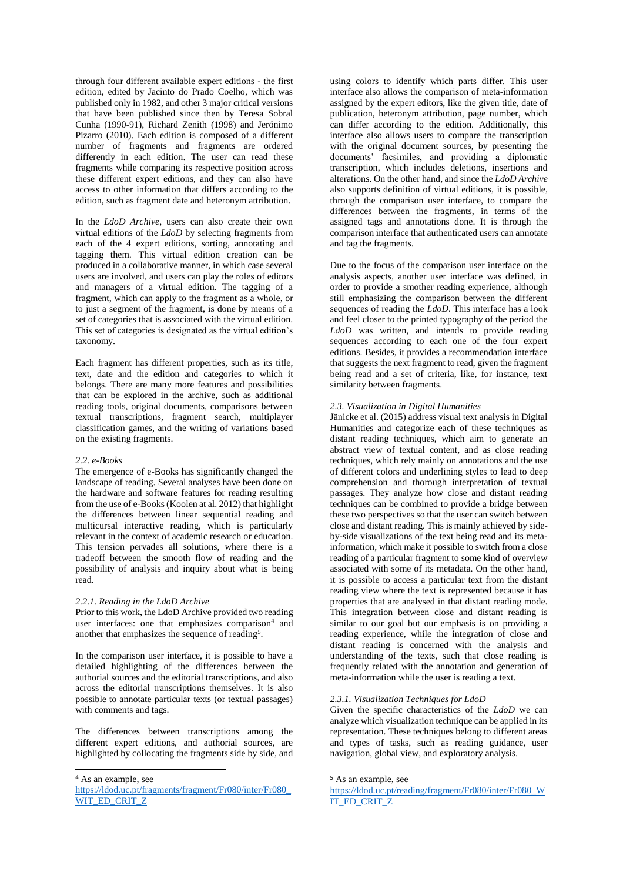through four different available expert editions - the first edition, edited by Jacinto do Prado Coelho, which was published only in 1982, and other 3 major critical versions that have been published since then by Teresa Sobral Cunha (1990-91), Richard Zenith (1998) and Jerónimo Pizarro (2010). Each edition is composed of a different number of fragments and fragments are ordered differently in each edition. The user can read these fragments while comparing its respective position across these different expert editions, and they can also have access to other information that differs according to the edition, such as fragment date and heteronym attribution.

In the *LdoD Archive*, users can also create their own virtual editions of the *LdoD* by selecting fragments from each of the 4 expert editions, sorting, annotating and tagging them. This virtual edition creation can be produced in a collaborative manner, in which case several users are involved, and users can play the roles of editors and managers of a virtual edition. The tagging of a fragment, which can apply to the fragment as a whole, or to just a segment of the fragment, is done by means of a set of categories that is associated with the virtual edition. This set of categories is designated as the virtual edition's taxonomy.

Each fragment has different properties, such as its title, text, date and the edition and categories to which it belongs. There are many more features and possibilities that can be explored in the archive, such as additional reading tools, original documents, comparisons between textual transcriptions, fragment search, multiplayer classification games, and the writing of variations based on the existing fragments.

#### *2.2. e-Books*

The emergence of e-Books has significantly changed the landscape of reading. Several analyses have been done on the hardware and software features for reading resulting from the use of e-Books (Koolen at al. 2012) that highlight the differences between linear sequential reading and multicursal interactive reading, which is particularly relevant in the context of academic research or education. This tension pervades all solutions, where there is a tradeoff between the smooth flow of reading and the possibility of analysis and inquiry about what is being read.

# *2.2.1. Reading in the LdoD Archive*

Prior to this work, the LdoD Archive provided two reading user interfaces: one that emphasizes comparison<sup>4</sup> and another that emphasizes the sequence of reading<sup>5</sup>.

In the comparison user interface, it is possible to have a detailed highlighting of the differences between the authorial sources and the editorial transcriptions, and also across the editorial transcriptions themselves. It is also possible to annotate particular texts (or textual passages) with comments and tags.

The differences between transcriptions among the different expert editions, and authorial sources, are highlighted by collocating the fragments side by side, and

 $\overline{a}$ 

using colors to identify which parts differ. This user interface also allows the comparison of meta-information assigned by the expert editors, like the given title, date of publication, heteronym attribution, page number, which can differ according to the edition. Additionally, this interface also allows users to compare the transcription with the original document sources, by presenting the documents' facsimiles, and providing a diplomatic transcription, which includes deletions, insertions and alterations. On the other hand, and since the *LdoD Archive* also supports definition of virtual editions, it is possible, through the comparison user interface, to compare the differences between the fragments, in terms of the assigned tags and annotations done. It is through the comparison interface that authenticated users can annotate and tag the fragments.

Due to the focus of the comparison user interface on the analysis aspects, another user interface was defined, in order to provide a smother reading experience, although still emphasizing the comparison between the different sequences of reading the *LdoD*. This interface has a look and feel closer to the printed typography of the period the *LdoD* was written, and intends to provide reading sequences according to each one of the four expert editions. Besides, it provides a recommendation interface that suggests the next fragment to read, given the fragment being read and a set of criteria, like, for instance, text similarity between fragments.

# *2.3. Visualization in Digital Humanities*

Jänicke et al. (2015) address visual text analysis in Digital Humanities and categorize each of these techniques as distant reading techniques, which aim to generate an abstract view of textual content, and as close reading techniques, which rely mainly on annotations and the use of different colors and underlining styles to lead to deep comprehension and thorough interpretation of textual passages. They analyze how close and distant reading techniques can be combined to provide a bridge between these two perspectives so that the user can switch between close and distant reading. This is mainly achieved by sideby-side visualizations of the text being read and its metainformation, which make it possible to switch from a close reading of a particular fragment to some kind of overview associated with some of its metadata. On the other hand, it is possible to access a particular text from the distant reading view where the text is represented because it has properties that are analysed in that distant reading mode. This integration between close and distant reading is similar to our goal but our emphasis is on providing a reading experience, while the integration of close and distant reading is concerned with the analysis and understanding of the texts, such that close reading is frequently related with the annotation and generation of meta-information while the user is reading a text.

# *2.3.1. Visualization Techniques for LdoD*

Given the specific characteristics of the *LdoD* we can analyze which visualization technique can be applied in its representation. These techniques belong to different areas and types of tasks, such as reading guidance, user navigation, global view, and exploratory analysis.

<sup>4</sup> As an example, see

[https://ldod.uc.pt/fragments/fragment/Fr080/inter/Fr080\\_](https://ldod.uc.pt/fragments/fragment/Fr080/inter/Fr080_WIT_ED_CRIT_Z) [WIT\\_ED\\_CRIT\\_Z](https://ldod.uc.pt/fragments/fragment/Fr080/inter/Fr080_WIT_ED_CRIT_Z)

<sup>5</sup> As an example, see

[https://ldod.uc.pt/reading/fragment/Fr080/inter/Fr080\\_W](https://ldod.uc.pt/reading/fragment/Fr080/inter/Fr080_WIT_ED_CRIT_Z) [IT\\_ED\\_CRIT\\_Z](https://ldod.uc.pt/reading/fragment/Fr080/inter/Fr080_WIT_ED_CRIT_Z)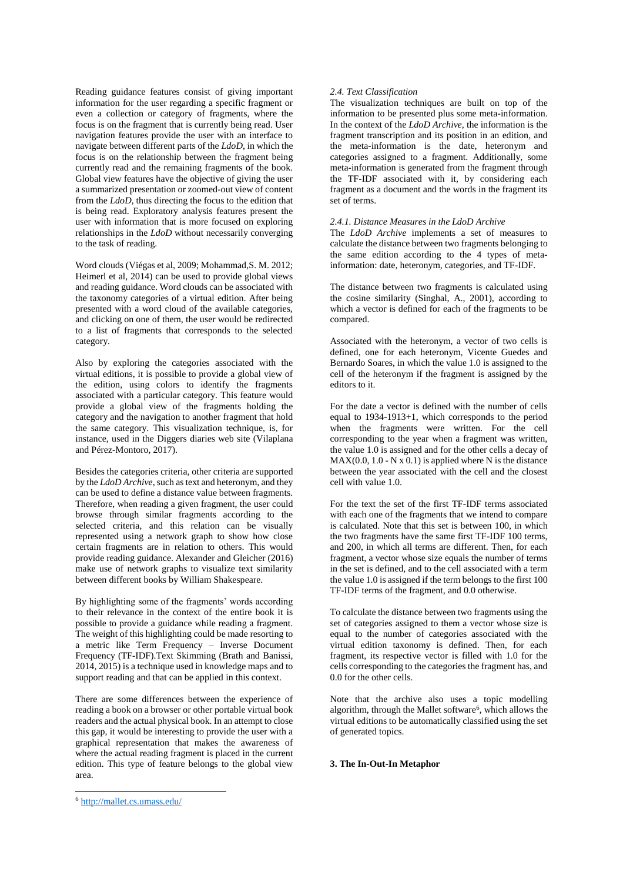Reading guidance features consist of giving important information for the user regarding a specific fragment or even a collection or category of fragments, where the focus is on the fragment that is currently being read. User navigation features provide the user with an interface to navigate between different parts of the *LdoD*, in which the focus is on the relationship between the fragment being currently read and the remaining fragments of the book. Global view features have the objective of giving the user a summarized presentation or zoomed-out view of content from the *LdoD*, thus directing the focus to the edition that is being read. Exploratory analysis features present the user with information that is more focused on exploring relationships in the *LdoD* without necessarily converging to the task of reading.

Word clouds (Viégas et al, 2009; Mohammad,S. M. 2012; Heimerl et al, 2014) can be used to provide global views and reading guidance. Word clouds can be associated with the taxonomy categories of a virtual edition. After being presented with a word cloud of the available categories, and clicking on one of them, the user would be redirected to a list of fragments that corresponds to the selected category.

Also by exploring the categories associated with the virtual editions, it is possible to provide a global view of the edition, using colors to identify the fragments associated with a particular category. This feature would provide a global view of the fragments holding the category and the navigation to another fragment that hold the same category. This visualization technique, is, for instance, used in the Diggers diaries web site (Vilaplana and Pérez-Montoro, 2017).

Besides the categories criteria, other criteria are supported by the *LdoD Archive*, such as text and heteronym, and they can be used to define a distance value between fragments. Therefore, when reading a given fragment, the user could browse through similar fragments according to the selected criteria, and this relation can be visually represented using a network graph to show how close certain fragments are in relation to others. This would provide reading guidance. Alexander and Gleicher (2016) make use of network graphs to visualize text similarity between different books by William Shakespeare.

By highlighting some of the fragments' words according to their relevance in the context of the entire book it is possible to provide a guidance while reading a fragment. The weight of this highlighting could be made resorting to a metric like Term Frequency – Inverse Document Frequency (TF-IDF).Text Skimming (Brath and Banissi, 2014, 2015) is a technique used in knowledge maps and to support reading and that can be applied in this context.

There are some differences between the experience of reading a book on a browser or other portable virtual book readers and the actual physical book. In an attempt to close this gap, it would be interesting to provide the user with a graphical representation that makes the awareness of where the actual reading fragment is placed in the current edition. This type of feature belongs to the global view area.

# *2.4. Text Classification*

The visualization techniques are built on top of the information to be presented plus some meta-information. In the context of the *LdoD Archive*, the information is the fragment transcription and its position in an edition, and the meta-information is the date, heteronym and categories assigned to a fragment. Additionally, some meta-information is generated from the fragment through the TF-IDF associated with it, by considering each fragment as a document and the words in the fragment its set of terms.

# *2.4.1. Distance Measures in the LdoD Archive*

The *LdoD Archive* implements a set of measures to calculate the distance between two fragments belonging to the same edition according to the 4 types of metainformation: date, heteronym, categories, and TF-IDF.

The distance between two fragments is calculated using the cosine similarity (Singhal, A., 2001), according to which a vector is defined for each of the fragments to be compared.

Associated with the heteronym, a vector of two cells is defined, one for each heteronym, Vicente Guedes and Bernardo Soares, in which the value 1.0 is assigned to the cell of the heteronym if the fragment is assigned by the editors to it.

For the date a vector is defined with the number of cells equal to 1934-1913+1, which corresponds to the period when the fragments were written. For the cell corresponding to the year when a fragment was written, the value 1.0 is assigned and for the other cells a decay of  $MAX(0.0, 1.0 - N \times 0.1)$  is applied where N is the distance between the year associated with the cell and the closest cell with value 1.0.

For the text the set of the first TF-IDF terms associated with each one of the fragments that we intend to compare is calculated. Note that this set is between 100, in which the two fragments have the same first TF-IDF 100 terms, and 200, in which all terms are different. Then, for each fragment, a vector whose size equals the number of terms in the set is defined, and to the cell associated with a term the value 1.0 is assigned if the term belongs to the first 100 TF-IDF terms of the fragment, and 0.0 otherwise.

To calculate the distance between two fragments using the set of categories assigned to them a vector whose size is equal to the number of categories associated with the virtual edition taxonomy is defined. Then, for each fragment, its respective vector is filled with 1.0 for the cells corresponding to the categories the fragment has, and 0.0 for the other cells.

Note that the archive also uses a topic modelling algorithm, through the Mallet software<sup>6</sup>, which allows the virtual editions to be automatically classified using the set of generated topics.

# **3. The In-Out-In Metaphor**

 $\overline{a}$ 

<sup>6</sup> <http://mallet.cs.umass.edu/>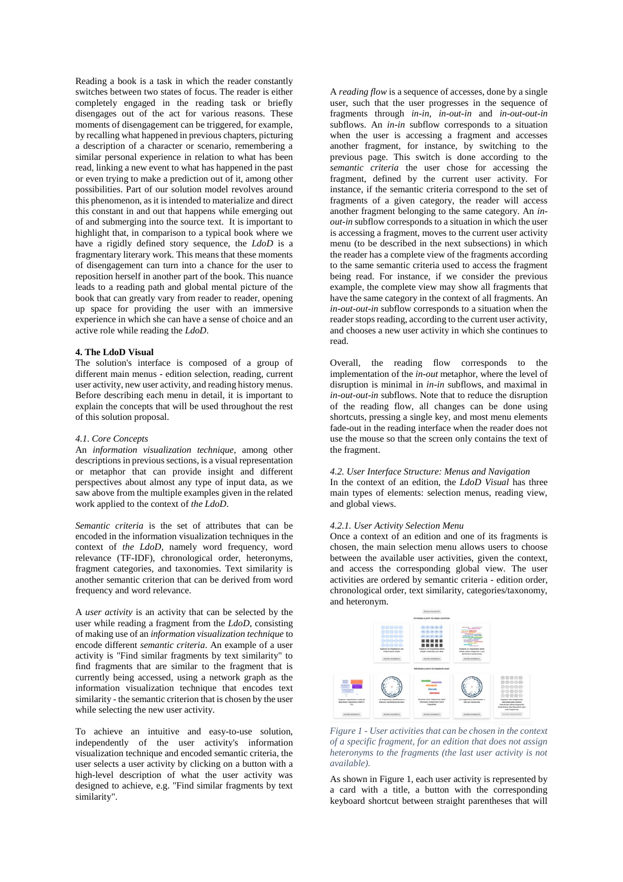Reading a book is a task in which the reader constantly switches between two states of focus. The reader is either completely engaged in the reading task or briefly disengages out of the act for various reasons. These moments of disengagement can be triggered, for example, by recalling what happened in previous chapters, picturing a description of a character or scenario, remembering a similar personal experience in relation to what has been read, linking a new event to what has happened in the past or even trying to make a prediction out of it, among other possibilities. Part of our solution model revolves around this phenomenon, as it is intended to materialize and direct this constant in and out that happens while emerging out of and submerging into the source text. It is important to highlight that, in comparison to a typical book where we have a rigidly defined story sequence, the *LdoD* is a fragmentary literary work. This means that these moments of disengagement can turn into a chance for the user to reposition herself in another part of the book. This nuance leads to a reading path and global mental picture of the book that can greatly vary from reader to reader, opening up space for providing the user with an immersive experience in which she can have a sense of choice and an active role while reading the *LdoD*.

### **4. The LdoD Visual**

The solution's interface is composed of a group of different main menus - edition selection, reading, current user activity, new user activity, and reading history menus. Before describing each menu in detail, it is important to explain the concepts that will be used throughout the rest of this solution proposal.

### *4.1. Core Concepts*

An *information visualization technique*, among other descriptions in previous sections, is a visual representation or metaphor that can provide insight and different perspectives about almost any type of input data, as we saw above from the multiple examples given in the related work applied to the context of *the LdoD*.

*Semantic criteria* is the set of attributes that can be encoded in the information visualization techniques in the context of *the LdoD*, namely word frequency, word relevance (TF-IDF), chronological order, heteronyms, fragment categories, and taxonomies. Text similarity is another semantic criterion that can be derived from word frequency and word relevance.

A *user activity* is an activity that can be selected by the user while reading a fragment from the *LdoD*, consisting of making use of an *information visualization technique* to encode different *semantic criteria*. An example of a user activity is "Find similar fragments by text similarity" to find fragments that are similar to the fragment that is currently being accessed, using a network graph as the information visualization technique that encodes text similarity - the semantic criterion that is chosen by the user while selecting the new user activity.

To achieve an intuitive and easy-to-use solution, independently of the user activity's information visualization technique and encoded semantic criteria, the user selects a user activity by clicking on a button with a high-level description of what the user activity was designed to achieve, e.g. "Find similar fragments by text similarity".

A *reading flow* is a sequence of accesses, done by a single user, such that the user progresses in the sequence of fragments through *in-in*, *in-out-in* and *in-out-out-in* subflows. An *in-in* subflow corresponds to a situation when the user is accessing a fragment and accesses another fragment, for instance, by switching to the previous page. This switch is done according to the *semantic criteria* the user chose for accessing the fragment, defined by the current user activity. For instance, if the semantic criteria correspond to the set of fragments of a given category, the reader will access another fragment belonging to the same category. An *inout-in* subflow corresponds to a situation in which the user is accessing a fragment, moves to the current user activity menu (to be described in the next subsections) in which the reader has a complete view of the fragments according to the same semantic criteria used to access the fragment being read. For instance, if we consider the previous example, the complete view may show all fragments that have the same category in the context of all fragments. An *in-out-out-in* subflow corresponds to a situation when the reader stops reading, according to the current user activity, and chooses a new user activity in which she continues to read.

Overall, the reading flow corresponds to the implementation of the *in-out* metaphor, where the level of disruption is minimal in *in-in* subflows, and maximal in *in-out-out-in* subflows. Note that to reduce the disruption of the reading flow, all changes can be done using shortcuts, pressing a single key, and most menu elements fade-out in the reading interface when the reader does not use the mouse so that the screen only contains the text of the fragment.

## *4.2. User Interface Structure: Menus and Navigation*

In the context of an edition, the *LdoD Visual* has three main types of elements: selection menus, reading view, and global views.

### *4.2.1. User Activity Selection Menu*

Once a context of an edition and one of its fragments is chosen, the main selection menu allows users to choose between the available user activities, given the context, and access the corresponding global view. The user activities are ordered by semantic criteria - edition order, chronological order, text similarity, categories/taxonomy, and heteronym.



<span id="page-3-0"></span>*Figure 1 - User activities that can be chosen in the context of a specific fragment, for an edition that does not assign heteronyms to the fragments (the last user activity is not available).*

As shown i[n Figure 1,](#page-3-0) each user activity is represented by a card with a title, a button with the corresponding keyboard shortcut between straight parentheses that will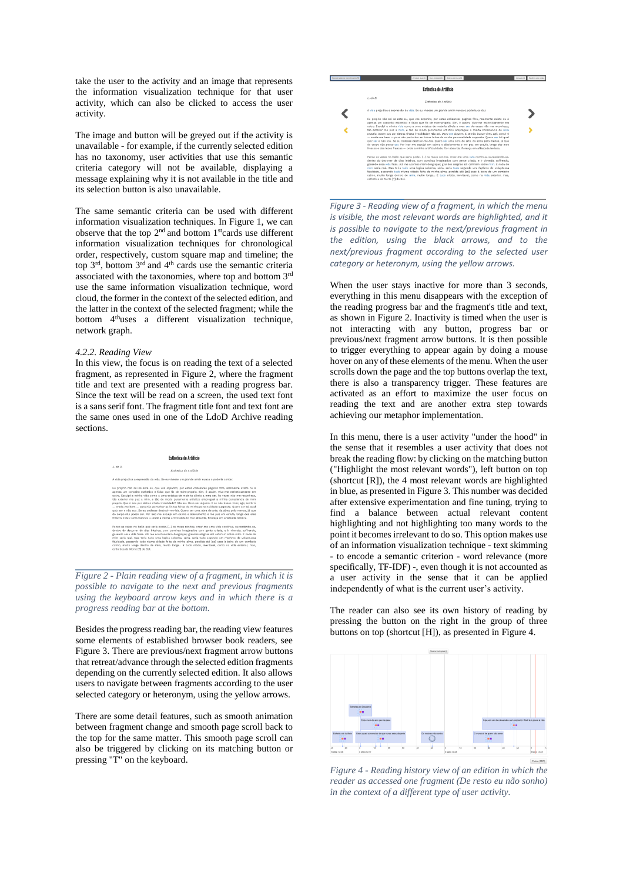take the user to the activity and an image that represents the information visualization technique for that user activity, which can also be clicked to access the user activity.

The image and button will be greyed out if the activity is unavailable - for example, if the currently selected edition has no taxonomy, user activities that use this semantic criteria category will not be available, displaying a message explaining why it is not available in the title and its selection button is also unavailable.

The same semantic criteria can be used with different information visualization techniques. In [Figure 1,](#page-3-0) we can observe that the top  $2<sup>nd</sup>$  and bottom 1<sup>st</sup>cards use different information visualization techniques for chronological order, respectively, custom square map and timeline; the top 3rd, bottom 3rd and 4th cards use the semantic criteria associated with the taxonomies, where top and bottom 3rd use the same information visualization technique, word cloud, the former in the context of the selected edition, and the latter in the context of the selected fragment; while the bottom 4<sup>th</sup>uses a different visualization technique, network graph.

#### *4.2.2. Reading View*

In this view, the focus is on reading the text of a selected fragment, as represented in [Figure 2,](#page-4-0) where the fragment title and text are presented with a reading progress bar. Since the text will be read on a screen, the used text font is a sans serif font. The fragment title font and text font are the same ones used in one of the LdoD Archive reading sections.



<span id="page-4-0"></span>*Figure 2 - Plain reading view of a fragment, in which it is possible to navigate to the next and previous fragments using the keyboard arrow keys and in which there is a progress reading bar at the bottom.*

Besides the progress reading bar, the reading view features some elements of established browser book readers, see [Figure 3.](#page-4-1) There are previous/next fragment arrow buttons that retreat/advance through the selected edition fragments depending on the currently selected edition. It also allows users to navigate between fragments according to the user selected category or heteronym, using the yellow arrows.

There are some detail features, such as smooth animation between fragment change and smooth page scroll back to the top for the same matter. This smooth page scroll can also be triggered by clicking on its matching button or pressing "T" on the keyboard.



<span id="page-4-1"></span>*Figure 3 - Reading view of a fragment, in which the menu is visible, the most relevant words are highlighted, and it is possible to navigate to the next/previous fragment in the edition, using the black arrows, and to the next/previous fragment according to the selected user category or heteronym, using the yellow arrows.*

When the user stays inactive for more than 3 seconds, everything in this menu disappears with the exception of the reading progress bar and the fragment's title and text, as shown i[n Figure 2.](#page-4-0) Inactivity is timed when the user is not interacting with any button, progress bar or previous/next fragment arrow buttons. It is then possible to trigger everything to appear again by doing a mouse hover on any of these elements of the menu. When the user scrolls down the page and the top buttons overlap the text, there is also a transparency trigger. These features are activated as an effort to maximize the user focus on reading the text and are another extra step towards achieving our metaphor implementation.

In this menu, there is a user activity "under the hood" in the sense that it resembles a user activity that does not break the reading flow: by clicking on the matching button ("Highlight the most relevant words"), left button on top (shortcut [R]), the 4 most relevant words are highlighted in blue, as presented i[n Figure 3.](#page-4-1) This number was decided after extensive experimentation and fine tuning, trying to find a balance between actual relevant content highlighting and not highlighting too many words to the point it becomes irrelevant to do so. This option makes use of an information visualization technique - text skimming - to encode a semantic criterion - word relevance (more specifically, TF-IDF) -, even though it is not accounted as a user activity in the sense that it can be applied independently of what is the current user's activity.

The reader can also see its own history of reading by pressing the button on the right in the group of three buttons on top (shortcut [H]), as presented in [Figure 4.](#page-4-2)



<span id="page-4-2"></span>*Figure 4 - Reading history view of an edition in which the reader as accessed one fragment (De resto eu não sonho) in the context of a different type of user activity.*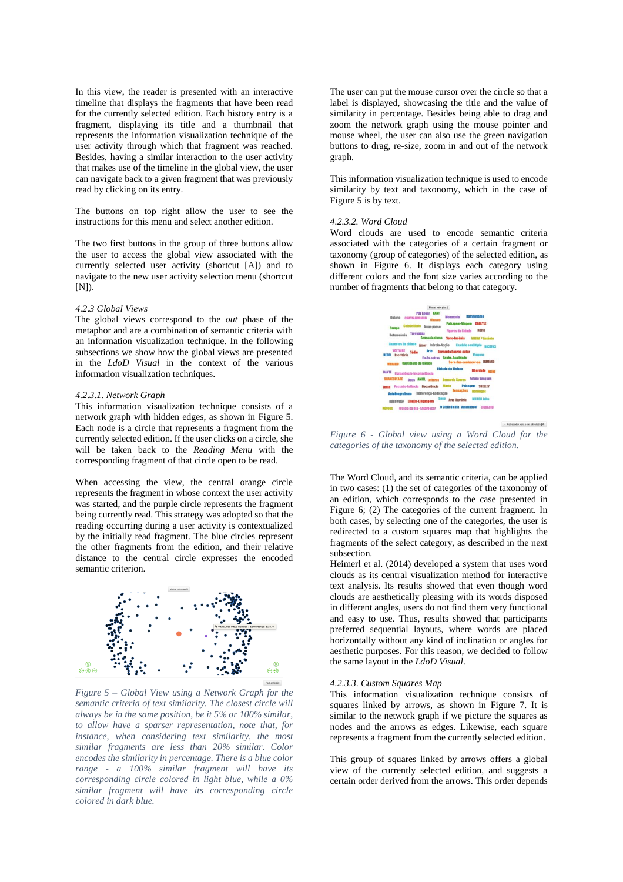In this view, the reader is presented with an interactive timeline that displays the fragments that have been read for the currently selected edition. Each history entry is a fragment, displaying its title and a thumbnail that represents the information visualization technique of the user activity through which that fragment was reached. Besides, having a similar interaction to the user activity that makes use of the timeline in the global view, the user can navigate back to a given fragment that was previously read by clicking on its entry.

The buttons on top right allow the user to see the instructions for this menu and select another edition.

The two first buttons in the group of three buttons allow the user to access the global view associated with the currently selected user activity (shortcut [A]) and to navigate to the new user activity selection menu (shortcut [N]).

# *4.2.3 Global Views*

The global views correspond to the *out* phase of the metaphor and are a combination of semantic criteria with an information visualization technique. In the following subsections we show how the global views are presented in the *LdoD Visual* in the context of the various information visualization techniques.

#### *4.2.3.1. Network Graph*

This information visualization technique consists of a network graph with hidden edges, as shown in [Figure 5.](#page-5-0)  Each node is a circle that represents a fragment from the currently selected edition. If the user clicks on a circle, she will be taken back to the *Reading Menu* with the corresponding fragment of that circle open to be read.

When accessing the view, the central orange circle represents the fragment in whose context the user activity was started, and the purple circle represents the fragment being currently read. This strategy was adopted so that the reading occurring during a user activity is contextualized by the initially read fragment. The blue circles represent the other fragments from the edition, and their relative distance to the central circle expresses the encoded semantic criterion.



<span id="page-5-0"></span>*Figure 5 – Global View using a Network Graph for the semantic criteria of text similarity. The closest circle will always be in the same position, be it 5% or 100% similar, to allow have a sparser representation, note that, for instance, when considering text similarity, the most similar fragments are less than 20% similar. Color encodes the similarity in percentage. There is a blue color range - a 100% similar fragment will have its corresponding circle colored in light blue, while a 0% similar fragment will have its corresponding circle colored in dark blue.*

The user can put the mouse cursor over the circle so that a label is displayed, showcasing the title and the value of similarity in percentage. Besides being able to drag and zoom the network graph using the mouse pointer and mouse wheel, the user can also use the green navigation buttons to drag, re-size, zoom in and out of the network graph.

This information visualization technique is used to encode similarity by text and taxonomy, which in the case of [Figure 5](#page-5-0) is by text.

## *4.2.3.2. Word Cloud*

Word clouds are used to encode semantic criteria associated with the categories of a certain fragment or taxonomy (group of categories) of the selected edition, as shown in [Figure 6.](#page-5-1) It displays each category using different colors and the font size varies according to the number of fragments that belong to that category.



<span id="page-5-1"></span>*Figure 6 - Global view using a Word Cloud for the categories of the taxonomy of the selected edition.*

The Word Cloud, and its semantic criteria, can be applied in two cases: (1) the set of categories of the taxonomy of an edition, which corresponds to the case presented in [Figure 6;](#page-5-1) (2) The categories of the current fragment. In both cases, by selecting one of the categories, the user is redirected to a custom squares map that highlights the fragments of the select category, as described in the next subsection.

Heimerl et al. (2014) developed a system that uses word clouds as its central visualization method for interactive text analysis. Its results showed that even though word clouds are aesthetically pleasing with its words disposed in different angles, users do not find them very functional and easy to use. Thus, results showed that participants preferred sequential layouts, where words are placed horizontally without any kind of inclination or angles for aesthetic purposes. For this reason, we decided to follow the same layout in the *LdoD Visual*.

### *4.2.3.3*. *Custom Squares Map*

This information visualization technique consists of squares linked by arrows, as shown in [Figure 7.](#page-6-0) It is similar to the network graph if we picture the squares as nodes and the arrows as edges. Likewise, each square represents a fragment from the currently selected edition.

This group of squares linked by arrows offers a global view of the currently selected edition, and suggests a certain order derived from the arrows. This order depends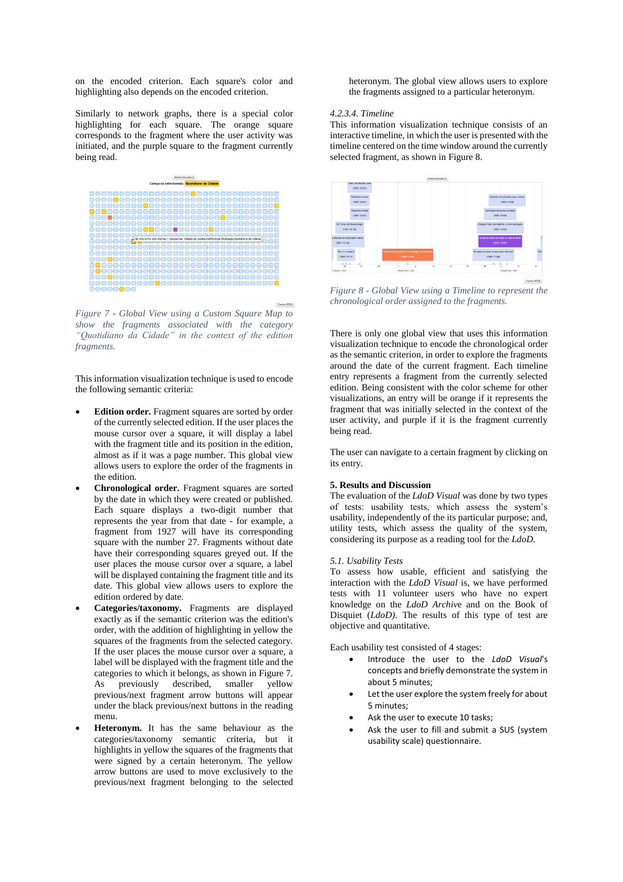on the encoded criterion. Each square's color and highlighting also depends on the encoded criterion.

Similarly to network graphs, there is a special color highlighting for each square. The orange square corresponds to the fragment where the user activity was initiated, and the purple square to the fragment currently being read.



<span id="page-6-0"></span>*Figure 7 - Global View using a Custom Square Map to show the fragments associated with the category "Quotidiano da Cidade" in the context of the edition fragments.*

This information visualization technique is used to encode the following semantic criteria:

- **Edition order.** Fragment squares are sorted by order of the currently selected edition. If the user places the mouse cursor over a square, it will display a label with the fragment title and its position in the edition, almost as if it was a page number. This global view allows users to explore the order of the fragments in the edition.
- **Chronological order.** Fragment squares are sorted by the date in which they were created or published. Each square displays a two-digit number that represents the year from that date - for example, a fragment from 1927 will have its corresponding square with the number 27. Fragments without date have their corresponding squares greyed out. If the user places the mouse cursor over a square, a label will be displayed containing the fragment title and its date. This global view allows users to explore the edition ordered by date.
- **Categories/taxonomy.** Fragments are displayed exactly as if the semantic criterion was the edition's order, with the addition of highlighting in yellow the squares of the fragments from the selected category. If the user places the mouse cursor over a square, a label will be displayed with the fragment title and the categories to which it belongs, as shown in [Figure 7.](#page-6-0)  As previously described, smaller yellow previous/next fragment arrow buttons will appear under the black previous/next buttons in the reading menu.
- **Heteronym.** It has the same behaviour as the categories/taxonomy semantic criteria, but it highlights in yellow the squares of the fragments that were signed by a certain heteronym. The yellow arrow buttons are used to move exclusively to the previous/next fragment belonging to the selected

heteronym. The global view allows users to explore the fragments assigned to a particular heteronym.

# *4.2.3.4*. *Timeline*

This information visualization technique consists of an interactive timeline, in which the user is presented with the timeline centered on the time window around the currently selected fragment, as shown i[n Figure 8.](#page-6-1)



<span id="page-6-1"></span>*Figure 8 - Global View using a Timeline to represent the chronological order assigned to the fragments.*

There is only one global view that uses this information visualization technique to encode the chronological order as the semantic criterion, in order to explore the fragments around the date of the current fragment. Each timeline entry represents a fragment from the currently selected edition. Being consistent with the color scheme for other visualizations, an entry will be orange if it represents the fragment that was initially selected in the context of the user activity, and purple if it is the fragment currently being read.

The user can navigate to a certain fragment by clicking on its entry.

## **5. Results and Discussion**

The evaluation of the *LdoD Visual* was done by two types of tests: usability tests, which assess the system's usability, independently of the its particular purpose; and, utility tests, which assess the quality of the system, considering its purpose as a reading tool for the *LdoD*.

#### *5.1. Usability Tests*

To assess how usable, efficient and satisfying the interaction with the *LdoD Visual* is, we have performed tests with 11 volunteer users who have no expert knowledge on the *LdoD Archiv*e and on the Book of Disquiet (*LdoD)*. The results of this type of test are objective and quantitative.

Each usability test consisted of 4 stages:

- Introduce the user to the *LdoD Visual*'s concepts and briefly demonstrate the system in about 5 minutes;
- Let the user explore the system freely for about 5 minutes;
- Ask the user to execute 10 tasks:
- Ask the user to fill and submit a SUS (system usability scale) questionnaire.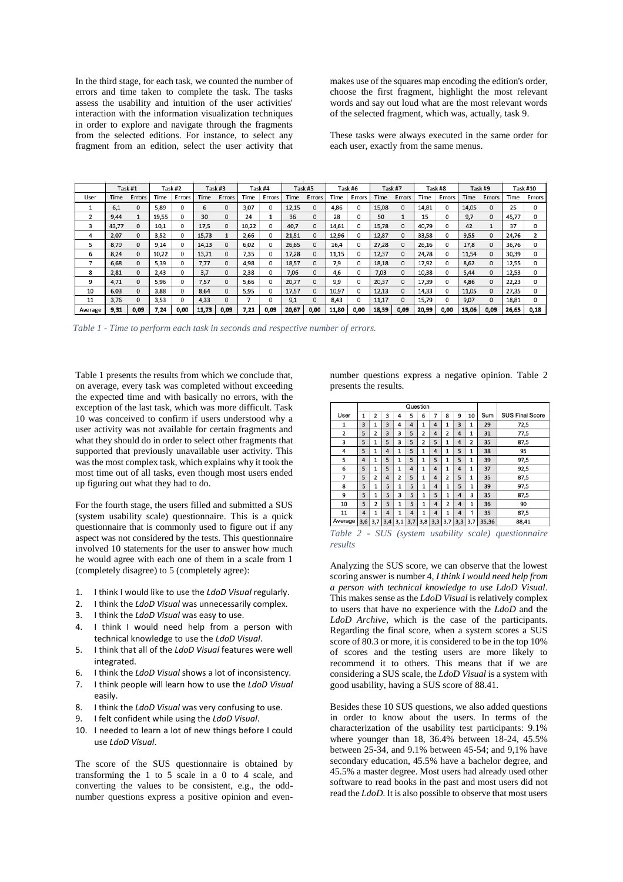In the third stage, for each task, we counted the number of errors and time taken to complete the task. The tasks assess the usability and intuition of the user activities' interaction with the information visualization techniques in order to explore and navigate through the fragments from the selected editions. For instance, to select any fragment from an edition, select the user activity that makes use of the squares map encoding the edition's order, choose the first fragment, highlight the most relevant words and say out loud what are the most relevant words of the selected fragment, which was, actually, task 9.

These tasks were always executed in the same order for each user, exactly from the same menus.

|         |       | Task#1       |       | Task #2  |       | Task #3      |       | Task #4 |       | Task #5     |       | Task #6 |       | Task #7  |       | Task #8  |       | Task #9      |       | <b>Task #10</b> |  |
|---------|-------|--------------|-------|----------|-------|--------------|-------|---------|-------|-------------|-------|---------|-------|----------|-------|----------|-------|--------------|-------|-----------------|--|
| User    | Time  | Errors       | Time  | Errors   | Time  | Errors       | Time  | Errors  | Time  | Errors      | Time  | Errors  | Time  | Errors   | Time  | Errors   | Time  | Errors       | Time  | Errors          |  |
|         | 6,1   | $\mathbf 0$  | 5,89  | 0        | 6     | 0            | 3,07  | 0       | 12,15 | 0           | 4,86  | 0       | 15,08 | 0        | 14,81 | 0        | 14,05 | 0            | 25    | 0               |  |
| 2       | 9.44  | 1            | 19,55 | 0        | 30    | $\mathbf{0}$ | 24    |         | 36    | $\Omega$    | 28    | 0       | 50    |          | 15    | 0        | 9.7   | $\Omega$     | 45.77 | 0               |  |
| 3       | 43,77 | $\mathbf{0}$ | 10,1  | 0        | 17,5  | $\mathbf{0}$ | 10,22 | 0       | 40,7  | 0           | 14,61 | 0       | 15,78 | 0        | 40,79 | 0        | 42    |              | 37    | 0               |  |
| 4       | 2.07  | $\Omega$     | 3,52  | 0        | 15.73 | $\mathbf{1}$ | 2,66  | 0       | 21,51 | $\Omega$    | 12,96 | 0       | 12,87 | 0        | 33,58 | 0        | 9,55  | $\mathbf 0$  | 24,76 |                 |  |
| 5       | 8.79  | $\Omega$     | 9.14  | 0        | 14.13 | $\mathbf{0}$ | 6.02  | 0       | 26.65 | 0           | 16.4  | 0       | 27.28 | 0        | 26,16 | 0        | 17.8  | $\mathbf{0}$ | 36,76 | 0               |  |
| 6       | 8,24  | $\mathbf 0$  | 10,22 | 0        | 13,71 | $\mathbf 0$  | 7,35  | 0       | 17,28 | 0           | 11,15 | 0       | 12,37 | 0        | 24,78 | 0        | 11,54 | $\mathbf 0$  | 30,39 | 0               |  |
| 7       | 6.68  | $\Omega$     | 5.39  | $\Omega$ | 7,77  | $\Omega$     | 4,98  | 0       | 18,57 | $\Omega$    | 7.9   | 0       | 18.18 | $\Omega$ | 17,92 | 0        | 8,62  | $\Omega$     | 12,55 | 0               |  |
| 8       | 2.81  | 0            | 2.43  | 0        | 3.7   | 0            | 2.38  | 0       | 7.06  | 0           | 4.6   | 0       | 7.03  | 0        | 10.38 | 0        | 5.44  | $\mathbf{0}$ | 12,53 | 0               |  |
| 9       | 4,71  | $\Omega$     | 5,96  | $\Omega$ | 7,57  | $\Omega$     | 5,66  | 0       | 20,77 | $\Omega$    | 9,9   | 0       | 20,37 | 0        | 17,39 | $\Omega$ | 4,86  | $\mathbf 0$  | 22,23 | 0               |  |
| 10      | 6,03  | $\mathbf 0$  | 3.88  | 0        | 8.64  | $\mathbf 0$  | 5,95  | 0       | 17,57 | $\mathbf 0$ | 10,97 | 0       | 12,13 | 0        | 14,33 | 0        | 11,05 | $\mathbf 0$  | 27,35 | 0               |  |
| 11      | 3,76  | $\mathbf{0}$ | 3,53  | 0        | 4,33  | $\mathbf{0}$ |       | 0       | 9,1   | 0           | 8,43  | 0       | 11,17 | 0        | 15,79 | 0        | 9,07  | $\mathbf{0}$ | 18,81 | 0               |  |
| Average | 9,31  | 0,09         | 7,24  | 0,00     | 11,73 | 0,09         | 7,21  | 0,09    | 20,67 | 0,00        | 11,80 | 0,00    | 18,39 | 0,09     | 20,99 | 0,00     | 13,06 | 0,09         | 26,65 | 0,18            |  |

<span id="page-7-0"></span>*Table 1 - Time to perform each task in seconds and respective number of errors.*

[Table 1](#page-7-0) presents the results from which we conclude that, on average, every task was completed without exceeding the expected time and with basically no errors, with the exception of the last task, which was more difficult. Task 10 was conceived to confirm if users understood why a user activity was not available for certain fragments and what they should do in order to select other fragments that supported that previously unavailable user activity. This was the most complex task, which explains why it took the most time out of all tasks, even though most users ended up figuring out what they had to do.

For the fourth stage, the users filled and submitted a SUS (system usability scale) questionnaire. This is a quick questionnaire that is commonly used to figure out if any aspect was not considered by the tests. This questionnaire involved 10 statements for the user to answer how much he would agree with each one of them in a scale from 1 (completely disagree) to 5 (completely agree):

- 1. I think I would like to use the *LdoD Visual* regularly.
- 2. I think the *LdoD Visual* was unnecessarily complex.
- 3. I think the *LdoD Visual* was easy to use.
- 4. I think I would need help from a person with technical knowledge to use the *LdoD Visual*.
- 5. I think that all of the *LdoD Visual* features were well integrated.
- 6. I think the *LdoD Visual* shows a lot of inconsistency.
- 7. I think people will learn how to use the *LdoD Visual* easily.
- 8. I think the *LdoD Visual* was very confusing to use.
- 9. I felt confident while using the *LdoD Visual*.
- 10. I needed to learn a lot of new things before I could use *LdoD Visual*.

The score of the SUS questionnaire is obtained by transforming the 1 to 5 scale in a 0 to 4 scale, and converting the values to be consistent, e.g., the oddnumber questions express a positive opinion and even-

number questions express a negative opinion. [Table 2](#page-7-1) presents the results.

|                |                |                |                         |                | Question |                |     |                |                         |                |       |                        |
|----------------|----------------|----------------|-------------------------|----------------|----------|----------------|-----|----------------|-------------------------|----------------|-------|------------------------|
| User           | $\mathbf{1}$   | $\overline{2}$ | 3                       | 4              | 5        | 6              | 7   | 8              | 9                       | 10             | Sum   | <b>SUS Final Score</b> |
| $\mathbf{1}$   | 3              | 1              | 3                       | 4              | 4        | 1              | 4   | $\mathbf{1}$   | 3                       | $\mathbf{1}$   | 29    | 72,5                   |
| $\overline{2}$ | 5              | 2              | $\overline{\mathbf{3}}$ | 3              | 5        | $\overline{2}$ | 4   | 2              | 4                       | $\mathbf{1}$   | 31    | 77,5                   |
| 3              | 5              | $\mathbf{1}$   | 5                       | 3              | 5        | $\overline{2}$ | 5   | $\mathbf{1}$   | 4                       | $\overline{a}$ | 35    | 87,5                   |
| 4              | 5              | $\mathbf{1}$   | 4                       | 1              | 5        | $\mathbf{1}$   | 4   | $\mathbf{1}$   | 5                       | $\mathbf{1}$   | 38    | 95                     |
| 5              | $\overline{4}$ | $\mathbf{1}$   | 5                       | $\mathbf{1}$   | 5        | $\mathbf{1}$   | 5   | $\mathbf{1}$   | 5                       | $\mathbf{1}$   | 39    | 97.5                   |
| 6              | 5              | $\mathbf{1}$   | 5                       | $\mathbf{1}$   | 4        | $\mathbf{1}$   | 4   | $\mathbf{1}$   | 4                       | 1              | 37    | 92,5                   |
| 7              | 5              | 2              | 4                       | $\overline{2}$ | 5        | $\mathbf{1}$   | 4   | $\overline{2}$ | 5                       | $\mathbf{1}$   | 35    | 87.5                   |
| 8              | 5              | $\mathbf{1}$   | 5                       | $\mathbf{1}$   | 5        | $\mathbf{1}$   | 4   | $\mathbf{1}$   | 5                       | $\mathbf{1}$   | 39    | 97,5                   |
| 9              | 5              | $\mathbf{1}$   | 5                       | 3              | 5        | $\mathbf{1}$   | 5   | $\mathbf{1}$   | $\overline{\mathbf{A}}$ | 3              | 35    | 87,5                   |
| 10             | 5              | $\overline{a}$ | 5                       | $\mathbf{1}$   | 5        | $\mathbf{1}$   | 4   | $\overline{2}$ | 4                       | $\mathbf{1}$   | 36    | 90                     |
| 11             | 4              | $\mathbf{1}$   | 4                       | $\mathbf{1}$   | 4        | $\mathbf{1}$   | 4   | $\mathbf{1}$   | 4                       | 1              | 35    | 87,5                   |
| Average        | 3,6            | 3,7            | 3,4                     | 3,1            | 3,7      | 3,8            | 3,3 | 3,7            | 3,3                     | 3,7            | 35,36 | 88.41                  |

<span id="page-7-1"></span>*Table 2 - SUS (system usability scale) questionnaire results*

Analyzing the SUS score, we can observe that the lowest scoring answer is number 4, *I think I would need help from a person with technical knowledge to use LdoD Visual*. This makes sense as the *LdoD Visual* is relatively complex to users that have no experience with the *LdoD* and the *LdoD Archive*, which is the case of the participants. Regarding the final score, when a system scores a SUS score of 80.3 or more, it is considered to be in the top 10% of scores and the testing users are more likely to recommend it to others. This means that if we are considering a SUS scale, the *LdoD Visual* is a system with good usability, having a SUS score of 88.41.

Besides these 10 SUS questions, we also added questions in order to know about the users. In terms of the characterization of the usability test participants: 9.1% where younger than 18, 36.4% between 18-24, 45.5% between 25-34, and 9.1% between 45-54; and 9,1% have secondary education, 45.5% have a bachelor degree, and 45.5% a master degree. Most users had already used other software to read books in the past and most users did not read the *LdoD*. It is also possible to observe that most users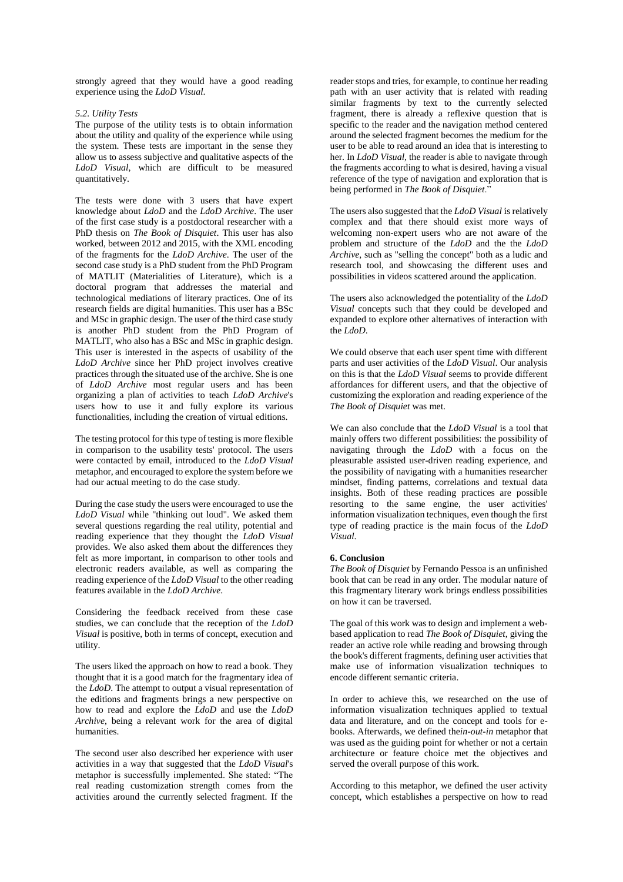strongly agreed that they would have a good reading experience using the *LdoD Visual*.

### *5.2. Utility Tests*

The purpose of the utility tests is to obtain information about the utility and quality of the experience while using the system. These tests are important in the sense they allow us to assess subjective and qualitative aspects of the *LdoD Visual*, which are difficult to be measured quantitatively.

The tests were done with 3 users that have expert knowledge about *LdoD* and the *LdoD Archive*. The user of the first case study is a postdoctoral researcher with a PhD thesis on *The Book of Disquiet*. This user has also worked, between 2012 and 2015, with the XML encoding of the fragments for the *LdoD Archive*. The user of the second case study is a PhD student from the PhD Program of MATLIT (Materialities of Literature), which is a doctoral program that addresses the material and technological mediations of literary practices. One of its research fields are digital humanities. This user has a BSc and MSc in graphic design. The user of the third case study is another PhD student from the PhD Program of MATLIT, who also has a BSc and MSc in graphic design. This user is interested in the aspects of usability of the *LdoD Archive* since her PhD project involves creative practices through the situated use of the archive. She is one of *LdoD Archive* most regular users and has been organizing a plan of activities to teach *LdoD Archive*'s users how to use it and fully explore its various functionalities, including the creation of virtual editions.

The testing protocol for this type of testing is more flexible in comparison to the usability tests' protocol. The users were contacted by email, introduced to the *LdoD Visual* metaphor, and encouraged to explore the system before we had our actual meeting to do the case study.

During the case study the users were encouraged to use the *LdoD Visual* while "thinking out loud". We asked them several questions regarding the real utility, potential and reading experience that they thought the *LdoD Visual* provides. We also asked them about the differences they felt as more important, in comparison to other tools and electronic readers available, as well as comparing the reading experience of the *LdoD Visual* to the other reading features available in the *LdoD Archive*.

Considering the feedback received from these case studies, we can conclude that the reception of the *LdoD Visual* is positive, both in terms of concept, execution and utility.

The users liked the approach on how to read a book. They thought that it is a good match for the fragmentary idea of the *LdoD*. The attempt to output a visual representation of the editions and fragments brings a new perspective on how to read and explore the *LdoD* and use the *LdoD Archive*, being a relevant work for the area of digital humanities.

The second user also described her experience with user activities in a way that suggested that the *LdoD Visual*'s metaphor is successfully implemented. She stated: "The real reading customization strength comes from the activities around the currently selected fragment. If the

reader stops and tries, for example, to continue her reading path with an user activity that is related with reading similar fragments by text to the currently selected fragment, there is already a reflexive question that is specific to the reader and the navigation method centered around the selected fragment becomes the medium for the user to be able to read around an idea that is interesting to her. In *LdoD Visual*, the reader is able to navigate through the fragments according to what is desired, having a visual reference of the type of navigation and exploration that is being performed in *The Book of Disquiet*."

The users also suggested that the *LdoD Visual* is relatively complex and that there should exist more ways of welcoming non-expert users who are not aware of the problem and structure of the *LdoD* and the the *LdoD Archive*, such as "selling the concept" both as a ludic and research tool, and showcasing the different uses and possibilities in videos scattered around the application.

The users also acknowledged the potentiality of the *LdoD Visual* concepts such that they could be developed and expanded to explore other alternatives of interaction with the *LdoD*.

We could observe that each user spent time with different parts and user activities of the *LdoD Visual*. Our analysis on this is that the *LdoD Visual* seems to provide different affordances for different users, and that the objective of customizing the exploration and reading experience of the *The Book of Disquiet* was met.

We can also conclude that the *LdoD Visual* is a tool that mainly offers two different possibilities: the possibility of navigating through the *LdoD* with a focus on the pleasurable assisted user-driven reading experience, and the possibility of navigating with a humanities researcher mindset, finding patterns, correlations and textual data insights. Both of these reading practices are possible resorting to the same engine, the user activities' information visualization techniques, even though the first type of reading practice is the main focus of the *LdoD Visual*.

### **6. Conclusion**

*The Book of Disquiet* by Fernando Pessoa is an unfinished book that can be read in any order. The modular nature of this fragmentary literary work brings endless possibilities on how it can be traversed.

The goal of this work was to design and implement a webbased application to read *The Book of Disquiet*, giving the reader an active role while reading and browsing through the book's different fragments, defining user activities that make use of information visualization techniques to encode different semantic criteria.

In order to achieve this, we researched on the use of information visualization techniques applied to textual data and literature, and on the concept and tools for ebooks. Afterwards, we defined the*in-out-in* metaphor that was used as the guiding point for whether or not a certain architecture or feature choice met the objectives and served the overall purpose of this work.

According to this metaphor, we defined the user activity concept, which establishes a perspective on how to read